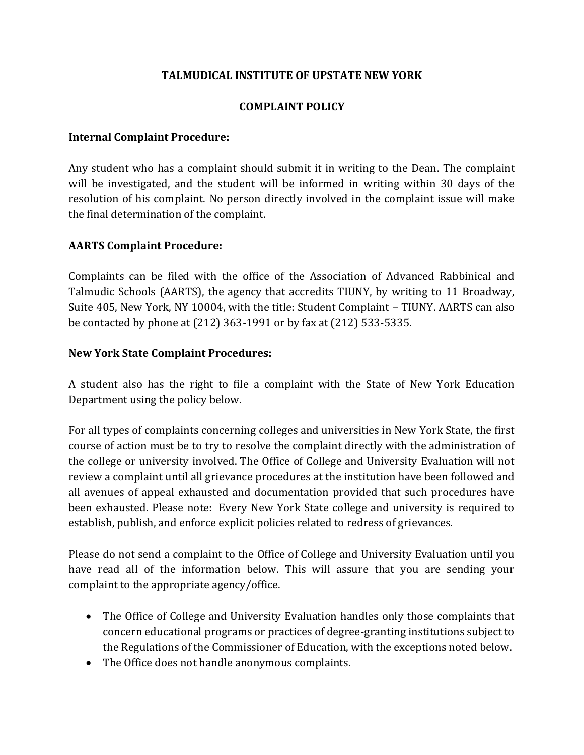# **TALMUDICAL INSTITUTE OF UPSTATE NEW YORK**

### **COMPLAINT POLICY**

### **Internal Complaint Procedure:**

Any student who has a complaint should submit it in writing to the Dean. The complaint will be investigated, and the student will be informed in writing within 30 days of the resolution of his complaint. No person directly involved in the complaint issue will make the final determination of the complaint.

# **AARTS Complaint Procedure:**

Complaints can be filed with the office of the Association of Advanced Rabbinical and Talmudic Schools (AARTS), the agency that accredits TIUNY, by writing to 11 Broadway, Suite 405, New York, NY 10004, with the title: Student Complaint – TIUNY. AARTS can also be contacted by phone at (212) 363-1991 or by fax at (212) 533-5335.

#### **New York State Complaint Procedures:**

A student also has the right to file a complaint with the State of New York Education Department using the policy below.

For all types of complaints concerning colleges and universities in New York State, the first course of action must be to try to resolve the complaint directly with the administration of the college or university involved. The Office of College and University Evaluation will not review a complaint until all grievance procedures at the institution have been followed and all avenues of appeal exhausted and documentation provided that such procedures have been exhausted. Please note: Every New York State college and university is required to establish, publish, and enforce explicit policies related to redress of grievances.

Please do not send a complaint to the Office of College and University Evaluation until you have read all of the information below. This will assure that you are sending your complaint to the appropriate agency/office.

- The Office of College and University Evaluation handles only those complaints that concern educational programs or practices of degree-granting institutions subject to the Regulations of the Commissioner of Education, with the exceptions noted below.
- The Office does not handle anonymous complaints.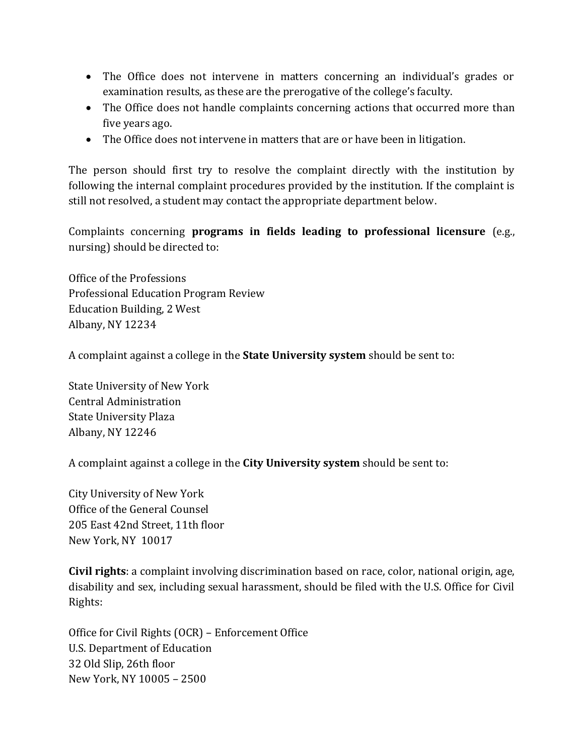- The Office does not intervene in matters concerning an individual's grades or examination results, as these are the prerogative of the college's faculty.
- The Office does not handle complaints concerning actions that occurred more than five years ago.
- The Office does not intervene in matters that are or have been in litigation.

The person should first try to resolve the complaint directly with the institution by following the internal complaint procedures provided by the institution. If the complaint is still not resolved, a student may contact the appropriate department below.

Complaints concerning **programs in fields leading to professional licensure** (e.g., nursing) should be directed to:

Office of the Professions Professional Education Program Review Education Building, 2 West Albany, NY 12234

A complaint against a college in the **State University system** should be sent to:

State University of New York Central Administration State University Plaza Albany, NY 12246

A complaint against a college in the **City University system** should be sent to:

City University of New York Office of the General Counsel 205 East 42nd Street, 11th floor New York, NY 10017

**Civil rights**: a complaint involving discrimination based on race, color, national origin, age, disability and sex, including sexual harassment, should be filed with the U.S. Office for Civil Rights:

Office for Civil Rights (OCR) – Enforcement Office U.S. Department of Education 32 Old Slip, 26th floor New York, NY 10005 – 2500